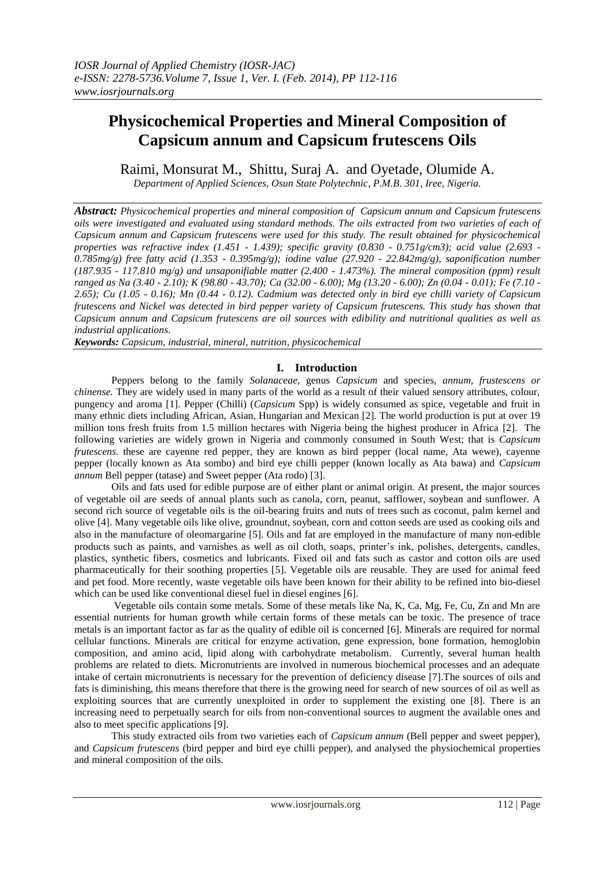# **Physicochemical Properties and Mineral Composition of Capsicum annum and Capsicum frutescens Oils**

Raimi, Monsurat M., Shittu, Suraj A. and Oyetade, Olumide A.

*Department of Applied Sciences, Osun State Polytechnic, P.M.B. 301, Iree, Nigeria.*

*Abstract: Physicochemical properties and mineral composition of Capsicum annum and Capsicum frutescens oils were investigated and evaluated using standard methods. The oils extracted from two varieties of each of Capsicum annum and Capsicum frutescens were used for this study. The result obtained for physicochemical properties was refractive index (1.451 - 1.439); specific gravity (0.830 - 0.751g/cm3); acid value (2.693 - 0.785mg/g) free fatty acid (1.353 - 0.395mg/g); iodine value (27.920 - 22.842mg/g), saponification number (187.935 - 117.810 mg/g) and unsaponifiable matter (2.400 - 1.473%). The mineral composition (ppm) result ranged as Na (3.40 - 2.10); K (98.80 - 43.70); Ca (32.00 - 6.00); Mg (13.20 - 6.00); Zn (0.04 - 0.01); Fe (7.10 - 2.65); Cu (1.05 - 0.16); Mn (0.44 - 0.12). Cadmium was detected only in bird eye chilli variety of Capsicum frutescens and Nickel was detected in bird pepper variety of Capsicum frutescens. This study has shown that Capsicum annum and Capsicum frutescens are oil sources with edibility and nutritional qualities as well as industrial applications.* 

*Keywords: Capsicum, industrial, mineral, nutrition, physicochemical* 

# **I. Introduction**

Peppers belong to the family *Solanaceae,* genus *Capsicum* and species, *annum*, *frustescens or chinense.* They are widely used in many parts of the world as a result of their valued sensory attributes, colour, pungency and aroma [1]. Pepper (Chilli) (*Capsicum* Spp) is widely consumed as spice, vegetable and fruit in many ethnic diets including African, Asian, Hungarian and Mexican [2]. The world production is put at over 19 million tons fresh fruits from 1.5 million hectares with Nigeria being the highest producer in Africa [2]. The following varieties are widely grown in Nigeria and commonly consumed in South West; that is *Capsicum frutescens*, these are cayenne red pepper, they are known as bird pepper (local name, Ata wewe), cayenne pepper (locally known as Ata sombo) and bird eye chilli pepper (known locally as Ata bawa) and *Capsicum annum* Bell pepper (tatase) and Sweet pepper (Ata rodo) [3].

 Oils and fats used for edible purpose are of either plant or animal origin. At present, the major sources of vegetable oil are seeds of annual plants such as canola, corn, peanut, safflower, soybean and sunflower. A second rich source of vegetable oils is the oil-bearing fruits and nuts of trees such as coconut, palm kernel and olive [4]. Many vegetable oils like olive, groundnut, soybean, corn and cotton seeds are used as cooking oils and also in the manufacture of oleomargarine [5]. Oils and fat are employed in the manufacture of many non-edible products such as paints, and varnishes as well as oil cloth, soaps, printer's ink, polishes, detergents, candles, plastics, synthetic fibers, cosmetics and lubricants. Fixed oil and fats such as castor and cotton oils are used pharmaceutically for their soothing properties [5]. Vegetable oils are reusable. They are used for animal feed and pet food. More recently, waste vegetable oils have been known for their ability to be refined into bio-diesel which can be used like conventional diesel fuel in diesel engines [6].

 Vegetable oils contain some metals. Some of these metals like Na, K, Ca, Mg, Fe, Cu, Zn and Mn are essential nutrients for human growth while certain forms of these metals can be toxic. The presence of trace metals is an important factor as far as the quality of edible oil is concerned [6]. Minerals are required for normal cellular functions. Minerals are critical for enzyme activation, gene expression, bone formation, hemoglobin composition, and amino acid, lipid along with carbohydrate metabolism. Currently, several human health problems are related to diets. Micronutrients are involved in numerous biochemical processes and an adequate intake of certain micronutrients is necessary for the prevention of deficiency disease [7].The sources of oils and fats is diminishing, this means therefore that there is the growing need for search of new sources of oil as well as exploiting sources that are currently unexploited in order to supplement the existing one [8]. There is an increasing need to perpetually search for oils from non-conventional sources to augment the available ones and also to meet specific applications [9].

 This study extracted oils from two varieties each of *Capsicum annum* (Bell pepper and sweet pepper), and *Capsicum frutescens* (bird pepper and bird eye chilli pepper), and analysed the physiochemical properties and mineral composition of the oils.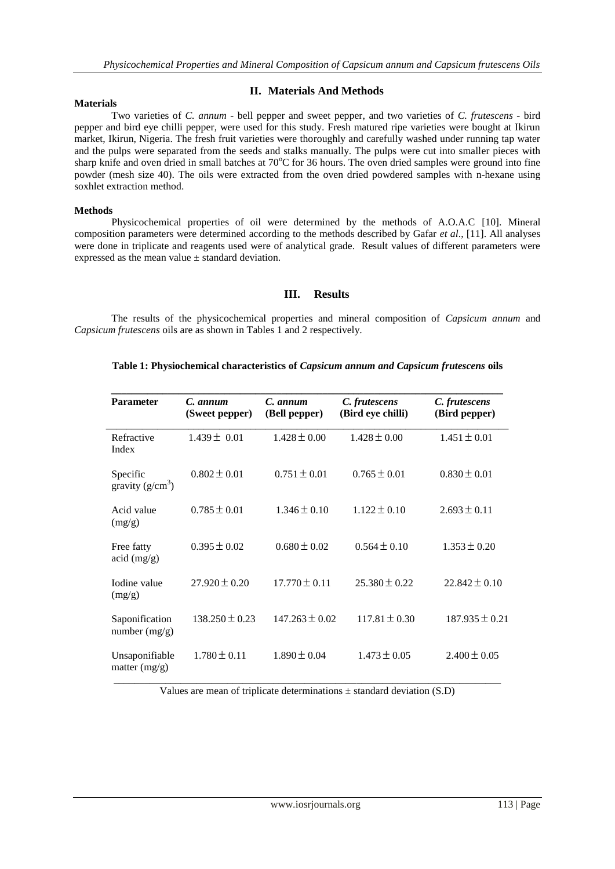# **II. Materials And Methods**

### **Materials**

Two varieties of *C. annum* - bell pepper and sweet pepper, and two varieties of *C. frutescens -* bird pepper and bird eye chilli pepper, were used for this study. Fresh matured ripe varieties were bought at Ikirun market, Ikirun, Nigeria. The fresh fruit varieties were thoroughly and carefully washed under running tap water and the pulps were separated from the seeds and stalks manually. The pulps were cut into smaller pieces with sharp knife and oven dried in small batches at  $70^{\circ}$ C for 36 hours. The oven dried samples were ground into fine powder (mesh size 40). The oils were extracted from the oven dried powdered samples with n-hexane using soxhlet extraction method.

### **Methods**

Physicochemical properties of oil were determined by the methods of A.O.A.C [10]. Mineral composition parameters were determined according to the methods described by Gafar *et al*., [11]. All analyses were done in triplicate and reagents used were of analytical grade. Result values of different parameters were expressed as the mean value ± standard deviation.

# **III. Results**

The results of the physicochemical properties and mineral composition of *Capsicum annum* and *Capsicum frutescens* oils are as shown in Tables 1 and 2 respectively.

## **Table 1: Physiochemical characteristics of** *Capsicum annum and Capsicum frutescens* **oils**

| <b>Parameter</b>                        | C. annum<br>(Sweet pepper) | C. annum<br>(Bell pepper) | C. frutescens<br>(Bird eye chilli) | C. frutescens<br>(Bird pepper) |  |
|-----------------------------------------|----------------------------|---------------------------|------------------------------------|--------------------------------|--|
| Refractive<br>Index                     | $1.439 \pm 0.01$           | $1.428 \pm 0.00$          | $1.428 \pm 0.00$                   | $1.451 \pm 0.01$               |  |
| Specific<br>gravity $(g/cm^3)$          | $0.802 \pm 0.01$           | $0.751 \pm 0.01$          | $0.765 \pm 0.01$                   | $0.830 \pm 0.01$               |  |
| Acid value<br>(mg/g)                    | $0.785 \pm 0.01$           | $1.346 \pm 0.10$          | $1.122 \pm 0.10$                   | $2.693 \pm 0.11$               |  |
| Free fatty<br>$\ar{1} \, \text{(mg/g)}$ | $0.395 \pm 0.02$           | $0.680 \pm 0.02$          | $0.564 \pm 0.10$                   | $1.353 \pm 0.20$               |  |
| Iodine value<br>(mg/g)                  | $27.920 \pm 0.20$          | $17.770 \pm 0.11$         | $25.380 \pm 0.22$                  | $22.842 \pm 0.10$              |  |
| Saponification<br>number (mg/g)         | $138.250 \pm 0.23$         | $147.263 \pm 0.02$        | $117.81 \pm 0.30$                  | $187.935 \pm 0.21$             |  |
| Unsaponifiable<br>matter $(mg/g)$       | $1.780 \pm 0.11$           | $1.890 \pm 0.04$          | $1.473 \pm 0.05$                   | $2.400 \pm 0.05$               |  |

Values are mean of triplicate determinations  $\pm$  standard deviation (S.D)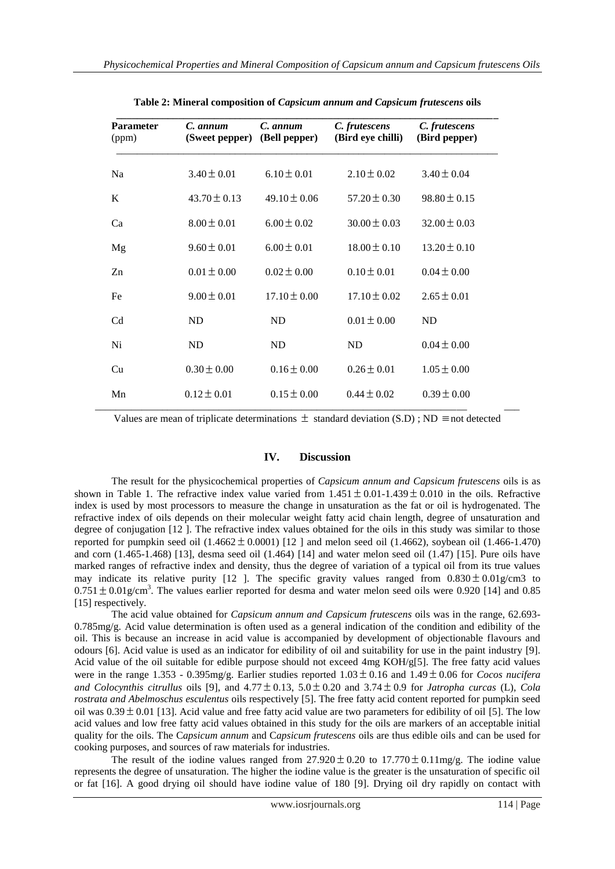| <b>Parameter</b><br>(ppm) | C. annum<br>(Sweet pepper) | C. annum<br>(Bell pepper) | C. frutescens<br>(Bird eye chilli) | C. frutescens<br>(Bird pepper) |
|---------------------------|----------------------------|---------------------------|------------------------------------|--------------------------------|
| Na                        | $3.40 \pm 0.01$            | $6.10 \pm 0.01$           | $2.10 \pm 0.02$                    | $3.40 \pm 0.04$                |
| K                         | $43.70 \pm 0.13$           | $49.10 \pm 0.06$          | $57.20 \pm 0.30$                   | $98.80 \pm 0.15$               |
| Ca                        | $8.00 \pm 0.01$            | $6.00 \pm 0.02$           | $30.00 \pm 0.03$                   | $32.00 \pm 0.03$               |
| Mg                        | $9.60 \pm 0.01$            | $6.00 \pm 0.01$           | $18.00 \pm 0.10$                   | $13.20 \pm 0.10$               |
| Zn                        | $0.01 \pm 0.00$            | $0.02 \pm 0.00$           | $0.10 \pm 0.01$                    | $0.04 \pm 0.00$                |
| Fe                        | $9.00 \pm 0.01$            | $17.10 \pm 0.00$          | $17.10 \pm 0.02$                   | $2.65 \pm 0.01$                |
| C <sub>d</sub>            | ND                         | ND                        | $0.01 \pm 0.00$                    | ND                             |
| Ni                        | ND                         | ND                        | <b>ND</b>                          | $0.04 \pm 0.00$                |
| Cu                        | $0.30 \pm 0.00$            | $0.16 \pm 0.00$           | $0.26 \pm 0.01$                    | $1.05 \pm 0.00$                |
| Mn                        | $0.12 \pm 0.01$            | $0.15 \pm 0.00$           | $0.44 \pm 0.02$                    | $0.39 \pm 0.00$                |

**Table 2: Mineral composition of** *Capsicum annum and Capsicum frutescens* **oils**

Values are mean of triplicate determinations  $\pm$  standard deviation (S.D); ND  $\equiv$  not detected

# **IV. Discussion**

The result for the physicochemical properties of *Capsicum annum and Capsicum frutescens* oils is as shown in Table 1. The refractive index value varied from  $1.451 \pm 0.01$ -1.439  $\pm 0.010$  in the oils. Refractive index is used by most processors to measure the change in unsaturation as the fat or oil is hydrogenated. The refractive index of oils depends on their molecular weight fatty acid chain length, degree of unsaturation and degree of conjugation [12 ]. The refractive index values obtained for the oils in this study was similar to those reported for pumpkin seed oil  $(1.4662 \pm 0.0001)$  [12 ] and melon seed oil  $(1.4662)$ , soybean oil  $(1.466-1.470)$ and corn (1.465-1.468) [13], desma seed oil (1.464) [14] and water melon seed oil (1.47) [15]. Pure oils have marked ranges of refractive index and density, thus the degree of variation of a typical oil from its true values may indicate its relative purity [12 ]. The specific gravity values ranged from  $0.830 \pm 0.01$  g/cm3 to  $0.751 \pm 0.01$  g/cm<sup>3</sup>. The values earlier reported for desma and water melon seed oils were 0.920 [14] and 0.85 [15] respectively.

 The acid value obtained for *Capsicum annum and Capsicum frutescens* oils was in the range, 62.693- 0.785mg/g. Acid value determination is often used as a general indication of the condition and edibility of the oil. This is because an increase in acid value is accompanied by development of objectionable flavours and odours [6]. Acid value is used as an indicator for edibility of oil and suitability for use in the paint industry [9]. Acid value of the oil suitable for edible purpose should not exceed 4mg KOH/g[5]. The free fatty acid values were in the range  $1.353 - 0.395$ mg/g. Earlier studies reported  $1.03 \pm 0.16$  and  $1.49 \pm 0.06$  for *Cocos nucifera* and Colocynthis citrullus oils [9], and  $4.77 \pm 0.13$ ,  $5.0 \pm 0.20$  and  $3.74 \pm 0.9$  for *Jatropha curcas* (L), Cola *rostrata and Abelmoschus esculentus* oils respectively [5]. The free fatty acid content reported for pumpkin seed oil was  $0.39 \pm 0.01$  [13]. Acid value and free fatty acid value are two parameters for edibility of oil [5]. The low acid values and low free fatty acid values obtained in this study for the oils are markers of an acceptable initial quality for the oils. The C*apsicum annum* and C*apsicum frutescens* oils are thus edible oils and can be used for cooking purposes, and sources of raw materials for industries.

The result of the iodine values ranged from  $27.920 \pm 0.20$  to  $17.770 \pm 0.11$  mg/g. The iodine value represents the degree of unsaturation. The higher the iodine value is the greater is the unsaturation of specific oil or fat [16]. A good drying oil should have iodine value of 180 [9]. Drying oil dry rapidly on contact with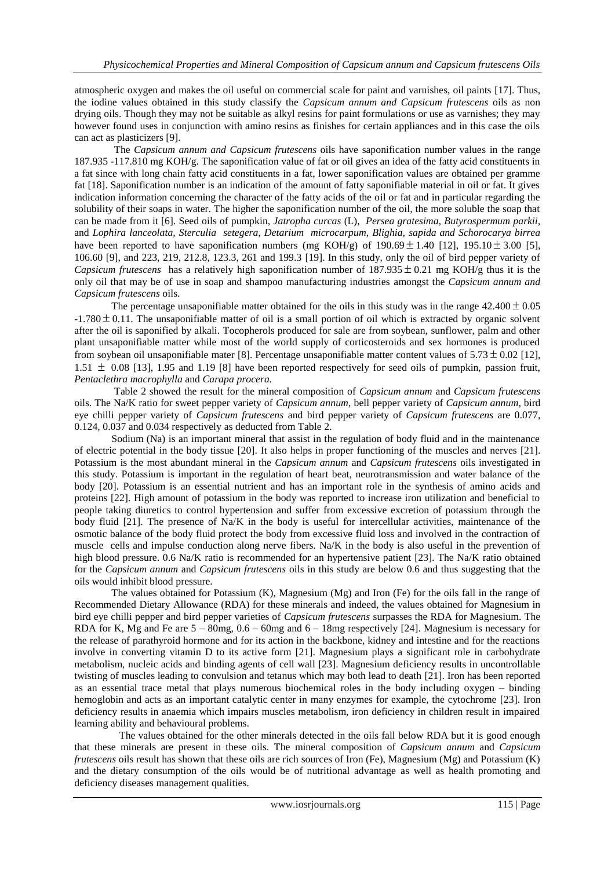atmospheric oxygen and makes the oil useful on commercial scale for paint and varnishes, oil paints [17]. Thus, the iodine values obtained in this study classify the *Capsicum annum and Capsicum frutescens* oils as non drying oils. Though they may not be suitable as alkyl resins for paint formulations or use as varnishes; they may however found uses in conjunction with amino resins as finishes for certain appliances and in this case the oils can act as plasticizers [9].

 The *Capsicum annum and Capsicum frutescens* oils have saponification number values in the range 187.935 -117.810 mg KOH/g. The saponification value of fat or oil gives an idea of the fatty acid constituents in a fat since with long chain fatty acid constituents in a fat, lower saponification values are obtained per gramme fat [18]. Saponification number is an indication of the amount of fatty saponifiable material in oil or fat. It gives indication information concerning the character of the fatty acids of the oil or fat and in particular regarding the solubility of their soaps in water. The higher the saponification number of the oil, the more soluble the soap that can be made from it [6]. Seed oils of pumpkin, *Jatropha curcas* (L), *Persea gratesima*, *Butyrospermum parkii,*  and *Lophira lanceolata, Sterculia setegera, Detarium microcarpum, Blighia, sapida and Schorocarya birrea*  have been reported to have saponification numbers (mg KOH/g) of  $190.69 \pm 1.40$  [12],  $195.10 \pm 3.00$  [5], 106.60 [9], and 223, 219, 212.8, 123.3, 261 and 199.3 [19]. In this study, only the oil of bird pepper variety of Capsicum *frutescens* has a relatively high saponification number of  $187.935 \pm 0.21$  mg KOH/g thus it is the only oil that may be of use in soap and shampoo manufacturing industries amongst the *Capsicum annum and Capsicum frutescens* oils.

The percentage unsaponifiable matter obtained for the oils in this study was in the range  $42.400 \pm 0.05$  $-1.780 \pm 0.11$ . The unsaponifiable matter of oil is a small portion of oil which is extracted by organic solvent after the oil is saponified by alkali. Tocopherols produced for sale are from soybean, sunflower, palm and other plant unsaponifiable matter while most of the world supply of corticosteroids and sex hormones is produced from soybean oil unsaponifiable mater [8]. Percentage unsaponifiable matter content values of  $5.73 \pm 0.02$  [12],  $1.51 \pm 0.08$  [13], 1.95 and 1.19 [8] have been reported respectively for seed oils of pumpkin, passion fruit, *Pentaclethra macrophylla* and *Carapa procera.*

 Table 2 showed the result for the mineral composition of *Capsicum annum* and *Capsicum frutescens* oils. The Na/K ratio for sweet pepper variety of *Capsicum annum*, bell pepper variety of *Capsicum annum,* bird eye chilli pepper variety of *Capsicum frutescens* and bird pepper variety of *Capsicum frutescens* are 0.077, 0.124, 0.037 and 0.034 respectively as deducted from Table 2.

 Sodium (Na) is an important mineral that assist in the regulation of body fluid and in the maintenance of electric potential in the body tissue [20]. It also helps in proper functioning of the muscles and nerves [21]. Potassium is the most abundant mineral in the *Capsicum annum* and *Capsicum frutescens* oils investigated in this study. Potassium is important in the regulation of heart beat, neurotransmission and water balance of the body [20]. Potassium is an essential nutrient and has an important role in the synthesis of amino acids and proteins [22]. High amount of potassium in the body was reported to increase iron utilization and beneficial to people taking diuretics to control hypertension and suffer from excessive excretion of potassium through the body fluid [21]. The presence of  $\text{Na/K}$  in the body is useful for intercellular activities, maintenance of the osmotic balance of the body fluid protect the body from excessive fluid loss and involved in the contraction of muscle cells and impulse conduction along nerve fibers. Na/K in the body is also useful in the prevention of high blood pressure. 0.6 Na/K ratio is recommended for an hypertensive patient [23]. The Na/K ratio obtained for the *Capsicum annum* and *Capsicum frutescens* oils in this study are below 0.6 and thus suggesting that the oils would inhibit blood pressure.

 The values obtained for Potassium (K), Magnesium (Mg) and Iron (Fe) for the oils fall in the range of Recommended Dietary Allowance (RDA) for these minerals and indeed, the values obtained for Magnesium in bird eye chilli pepper and bird pepper varieties of *Capsicum frutescens* surpasses the RDA for Magnesium. The RDA for K, Mg and Fe are  $5 - 80$ mg,  $0.6 - 60$ mg and  $6 - 18$ mg respectively [24]. Magnesium is necessary for the release of parathyroid hormone and for its action in the backbone, kidney and intestine and for the reactions involve in converting vitamin D to its active form [21]. Magnesium plays a significant role in carbohydrate metabolism, nucleic acids and binding agents of cell wall [23]. Magnesium deficiency results in uncontrollable twisting of muscles leading to convulsion and tetanus which may both lead to death [21]. Iron has been reported as an essential trace metal that plays numerous biochemical roles in the body including oxygen – binding hemoglobin and acts as an important catalytic center in many enzymes for example, the cytochrome [23]. Iron deficiency results in anaemia which impairs muscles metabolism, iron deficiency in children result in impaired learning ability and behavioural problems.

 The values obtained for the other minerals detected in the oils fall below RDA but it is good enough that these minerals are present in these oils. The mineral composition of *Capsicum annum* and *Capsicum frutescens* oils result has shown that these oils are rich sources of Iron (Fe), Magnesium (Mg) and Potassium (K) and the dietary consumption of the oils would be of nutritional advantage as well as health promoting and deficiency diseases management qualities.